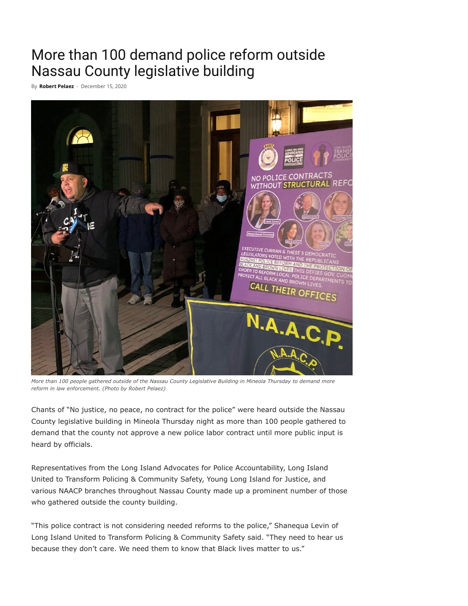## More than 100 demand police reform outside Nassau County legislative building

By **[Robert](https://theislandnow.com/author/robertpelaez/) Pelaez** - December 15, 2020



*More than 100 people gathered outside of the Nassau County Legislative Building in Mineola Thursday to demand more reform in law enforcement. (Photo by Robert Pelaez)*

Chants of "No justice, no peace, no contract for the police" were heard outside the Nassau County legislative building in Mineola Thursday night as more than 100 people gathered to demand that the county not approve a new police labor contract until more public input is heard by officials.

Representatives from the Long Island Advocates for Police Accountability, Long Island United to Transform Policing & Community Safety, Young Long Island for Justice, and various NAACP branches throughout Nassau County made up a prominent number of those who gathered outside the county building.

"This police contract is not considering needed reforms to the police," Shanequa Levin of Long Island United to Transform Policing & Community Safety said. "They need to hear us because they don't care. We need them to know that Black lives matter to us."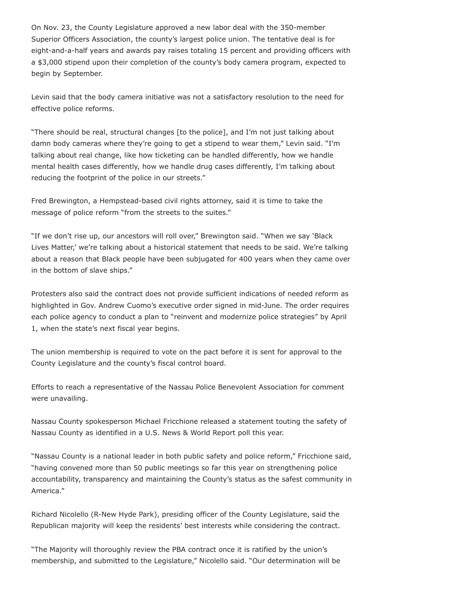On Nov. 23, the County Legislature approved a new labor deal with the 350-member Superior Officers Association, the county's largest police union. The tentative deal is for eight-and-a-half years and awards pay raises totaling 15 percent and providing officers with a \$3,000 stipend upon their completion of the county's body camera program, expected to begin by September.

Levin said that the body camera initiative was not a satisfactory resolution to the need for effective police reforms.

"There should be real, structural changes [to the police], and I'm not just talking about damn body cameras where they're going to get a stipend to wear them," Levin said. "I'm talking about real change, like how ticketing can be handled differently, how we handle mental health cases differently, how we handle drug cases differently, I'm talking about reducing the footprint of the police in our streets."

Fred Brewington, a Hempstead-based civil rights attorney, said it is time to take the message of police reform "from the streets to the suites."

"If we don't rise up, our ancestors will roll over," Brewington said. "When we say 'Black Lives Matter,' we're talking about a historical statement that needs to be said. We're talking about a reason that Black people have been subjugated for 400 years when they came over in the bottom of slave ships."

Protesters also said the contract does not provide sufficient indications of needed reform as highlighted in Gov. Andrew Cuomo's executive order signed in mid-June. The order requires each police agency to conduct a plan to "reinvent and modernize police strategies" by April 1, when the state's next fiscal year begins.

The union membership is required to vote on the pact before it is sent for approval to the County Legislature and the county's fiscal control board.

Efforts to reach a representative of the Nassau Police Benevolent Association for comment were unavailing.

Nassau County spokesperson Michael Fricchione released a statement touting the safety of Nassau County as identified in a U.S. News & World Report poll this year.

"Nassau County is a national leader in both public safety and police reform," Fricchione said, "having convened more than 50 public meetings so far this year on strengthening police accountability, transparency and maintaining the County's status as the safest community in America."

Richard Nicolello (R-New Hyde Park), presiding officer of the County Legislature, said the Republican majority will keep the residents' best interests while considering the contract.

"The Majority will thoroughly review the PBA contract once it is ratified by the union's membership, and submitted to the Legislature," Nicolello said. "Our determination will be